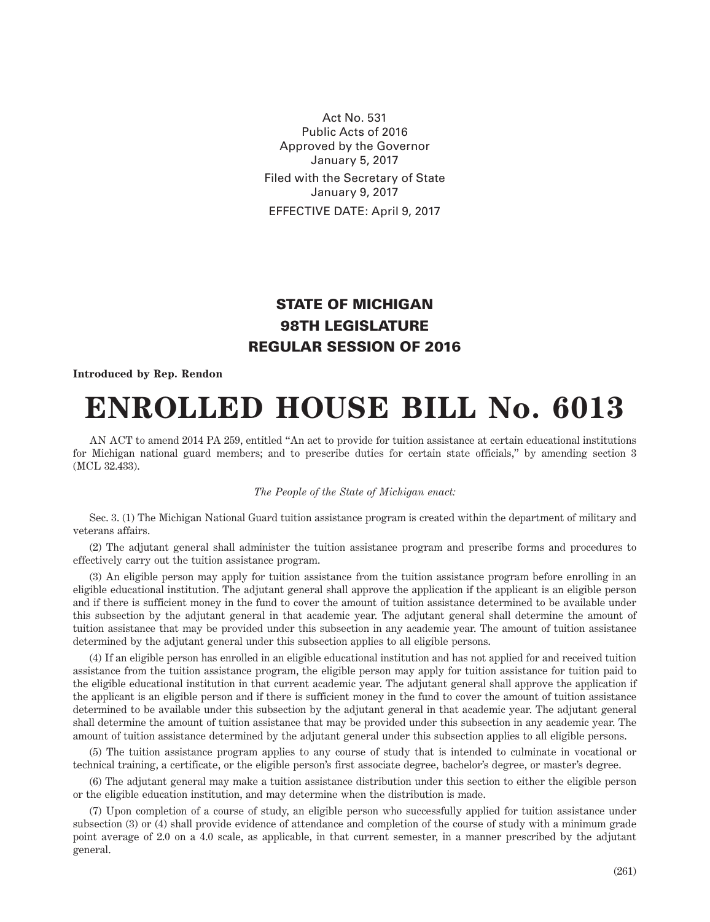Act No. 531 Public Acts of 2016 Approved by the Governor January 5, 2017 Filed with the Secretary of State January 9, 2017 EFFECTIVE DATE: April 9, 2017

STATE OF MICHIGAN 98TH LEGISLATURE REGULAR SESSION OF 2016

## **Introduced by Rep. Rendon**

## **ENROLLED HOUSE BILL No. 6013**

AN ACT to amend 2014 PA 259, entitled "An act to provide for tuition assistance at certain educational institutions for Michigan national guard members; and to prescribe duties for certain state officials," by amending section 3 (MCL 32.433).

## *The People of the State of Michigan enact:*

Sec. 3. (1) The Michigan National Guard tuition assistance program is created within the department of military and veterans affairs.

(2) The adjutant general shall administer the tuition assistance program and prescribe forms and procedures to effectively carry out the tuition assistance program.

(3) An eligible person may apply for tuition assistance from the tuition assistance program before enrolling in an eligible educational institution. The adjutant general shall approve the application if the applicant is an eligible person and if there is sufficient money in the fund to cover the amount of tuition assistance determined to be available under this subsection by the adjutant general in that academic year. The adjutant general shall determine the amount of tuition assistance that may be provided under this subsection in any academic year. The amount of tuition assistance determined by the adjutant general under this subsection applies to all eligible persons.

(4) If an eligible person has enrolled in an eligible educational institution and has not applied for and received tuition assistance from the tuition assistance program, the eligible person may apply for tuition assistance for tuition paid to the eligible educational institution in that current academic year. The adjutant general shall approve the application if the applicant is an eligible person and if there is sufficient money in the fund to cover the amount of tuition assistance determined to be available under this subsection by the adjutant general in that academic year. The adjutant general shall determine the amount of tuition assistance that may be provided under this subsection in any academic year. The amount of tuition assistance determined by the adjutant general under this subsection applies to all eligible persons.

(5) The tuition assistance program applies to any course of study that is intended to culminate in vocational or technical training, a certificate, or the eligible person's first associate degree, bachelor's degree, or master's degree.

(6) The adjutant general may make a tuition assistance distribution under this section to either the eligible person or the eligible education institution, and may determine when the distribution is made.

(7) Upon completion of a course of study, an eligible person who successfully applied for tuition assistance under subsection (3) or (4) shall provide evidence of attendance and completion of the course of study with a minimum grade point average of 2.0 on a 4.0 scale, as applicable, in that current semester, in a manner prescribed by the adjutant general.